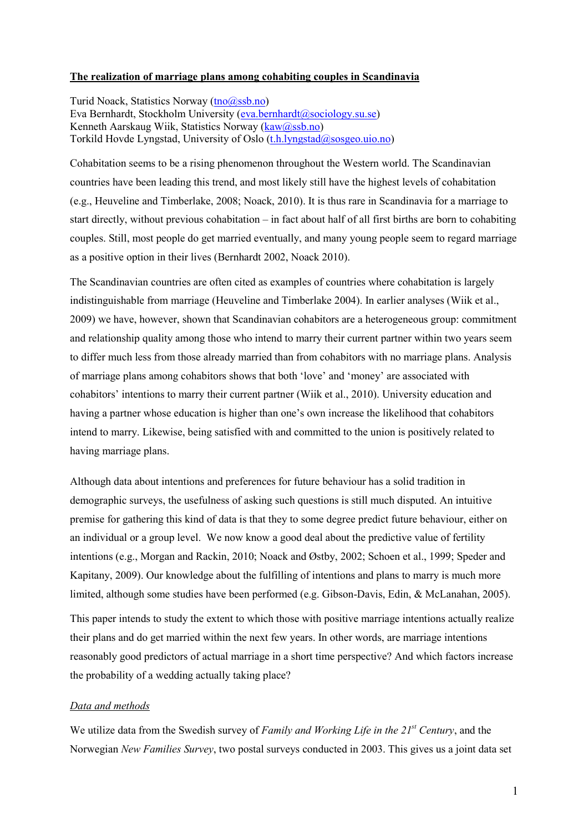# **The realization of marriage plans among cohabiting couples in Scandinavia**

Turid Noack, Statistics Norway [\(tno@ssb.no](mailto:tno@ssb.no)) Eva Bernhardt, Stockholm University [\(eva.bernhardt@sociology.su.se](mailto:eva.bernhardt@sociology.su.se)) Kenneth Aarskaug Wiik, Statistics Norway [\(kaw@ssb.no\)](mailto:kaw@ssb.no) Torkild Hovde Lyngstad, University of Oslo [\(t.h.lyngstad@sosgeo.uio.no](mailto:t.h.lyngstad@sosgeo.uio.no))

Cohabitation seems to be a rising phenomenon throughout the Western world. The Scandinavian countries have been leading this trend, and most likely still have the highest levels of cohabitation (e.g., Heuveline and Timberlake, 2008; Noack, 2010). It is thus rare in Scandinavia for a marriage to start directly, without previous cohabitation – in fact about half of all first births are born to cohabiting couples. Still, most people do get married eventually, and many young people seem to regard marriage as a positive option in their lives (Bernhardt 2002, Noack 2010).

The Scandinavian countries are often cited as examples of countries where cohabitation is largely indistinguishable from marriage (Heuveline and Timberlake 2004). In earlier analyses (Wiik et al., 2009) we have, however, shown that Scandinavian cohabitors are a heterogeneous group: commitment and relationship quality among those who intend to marry their current partner within two years seem to differ much less from those already married than from cohabitors with no marriage plans. Analysis of marriage plans among cohabitors shows that both 'love' and 'money' are associated with cohabitors' intentions to marry their current partner (Wiik et al., 2010). University education and having a partner whose education is higher than one's own increase the likelihood that cohabitors intend to marry. Likewise, being satisfied with and committed to the union is positively related to having marriage plans.

Although data about intentions and preferences for future behaviour has a solid tradition in demographic surveys, the usefulness of asking such questions is still much disputed. An intuitive premise for gathering this kind of data is that they to some degree predict future behaviour, either on an individual or a group level. We now know a good deal about the predictive value of fertility intentions (e.g., Morgan and Rackin, 2010; Noack and Østby, 2002; Schoen et al., 1999; Speder and Kapitany, 2009). Our knowledge about the fulfilling of intentions and plans to marry is much more limited, although some studies have been performed (e.g. Gibson-Davis, Edin, & McLanahan, 2005).

This paper intends to study the extent to which those with positive marriage intentions actually realize their plans and do get married within the next few years. In other words, are marriage intentions reasonably good predictors of actual marriage in a short time perspective? And which factors increase the probability of a wedding actually taking place?

## *Data and methods*

We utilize data from the Swedish survey of *Family and Working Life in the 21st Century*, and the Norwegian *New Families Survey*, two postal surveys conducted in 2003. This gives us a joint data set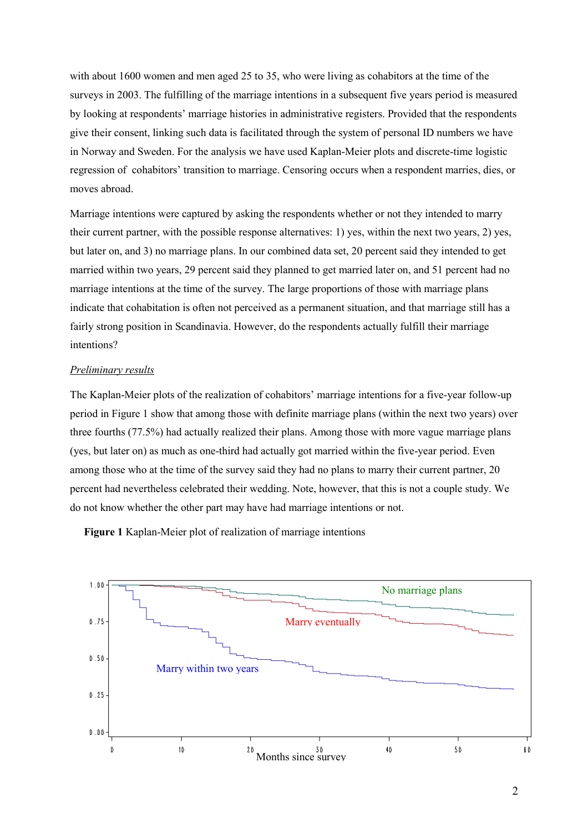with about 1600 women and men aged 25 to 35, who were living as cohabitors at the time of the surveys in 2003. The fulfilling of the marriage intentions in a subsequent five years period is measured by looking at respondents' marriage histories in administrative registers. Provided that the respondents give their consent, linking such data is facilitated through the system of personal ID numbers we have in Norway and Sweden. For the analysis we have used Kaplan-Meier plots and discrete-time logistic regression of cohabitors' transition to marriage. Censoring occurs when a respondent marries, dies, or moves abroad.

Marriage intentions were captured by asking the respondents whether or not they intended to marry their current partner, with the possible response alternatives: 1) yes, within the next two years, 2) yes, but later on, and 3) no marriage plans. In our combined data set, 20 percent said they intended to get married within two years, 29 percent said they planned to get married later on, and 51 percent had no marriage intentions at the time of the survey. The large proportions of those with marriage plans indicate that cohabitation is often not perceived as a permanent situation, and that marriage still has a fairly strong position in Scandinavia. However, do the respondents actually fulfill their marriage intentions?

### *Preliminary results*

The Kaplan-Meier plots of the realization of cohabitors' marriage intentions for a five-year follow-up period in Figure 1 show that among those with definite marriage plans (within the next two years) over three fourths (77.5%) had actually realized their plans. Among those with more vague marriage plans (yes, but later on) as much as one-third had actually got married within the five-year period. Even among those who at the time of the survey said they had no plans to marry their current partner, 20 percent had nevertheless celebrated their wedding. Note, however, that this is not a couple study. We do not know whether the other part may have had marriage intentions or not.

**Figure 1** Kaplan-Meier plot of realization of marriage intentions

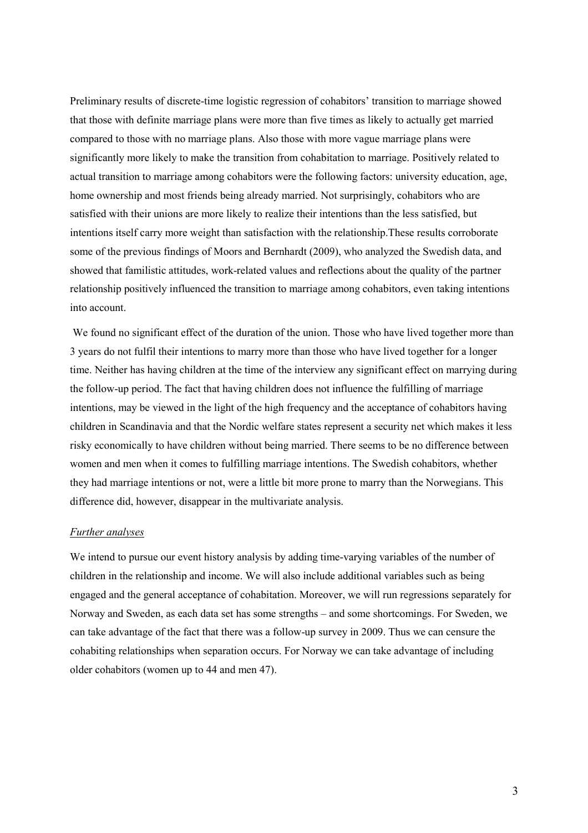Preliminary results of discrete-time logistic regression of cohabitors' transition to marriage showed that those with definite marriage plans were more than five times as likely to actually get married compared to those with no marriage plans. Also those with more vague marriage plans were significantly more likely to make the transition from cohabitation to marriage. Positively related to actual transition to marriage among cohabitors were the following factors: university education, age, home ownership and most friends being already married. Not surprisingly, cohabitors who are satisfied with their unions are more likely to realize their intentions than the less satisfied, but intentions itself carry more weight than satisfaction with the relationship.These results corroborate some of the previous findings of Moors and Bernhardt (2009), who analyzed the Swedish data, and showed that familistic attitudes, work-related values and reflections about the quality of the partner relationship positively influenced the transition to marriage among cohabitors, even taking intentions into account.

We found no significant effect of the duration of the union. Those who have lived together more than 3 years do not fulfil their intentions to marry more than those who have lived together for a longer time. Neither has having children at the time of the interview any significant effect on marrying during the follow-up period. The fact that having children does not influence the fulfilling of marriage intentions, may be viewed in the light of the high frequency and the acceptance of cohabitors having children in Scandinavia and that the Nordic welfare states represent a security net which makes it less risky economically to have children without being married. There seems to be no difference between women and men when it comes to fulfilling marriage intentions. The Swedish cohabitors, whether they had marriage intentions or not, were a little bit more prone to marry than the Norwegians. This difference did, however, disappear in the multivariate analysis.

#### *Further analyses*

We intend to pursue our event history analysis by adding time-varying variables of the number of children in the relationship and income. We will also include additional variables such as being engaged and the general acceptance of cohabitation. Moreover, we will run regressions separately for Norway and Sweden, as each data set has some strengths – and some shortcomings. For Sweden, we can take advantage of the fact that there was a follow-up survey in 2009. Thus we can censure the cohabiting relationships when separation occurs. For Norway we can take advantage of including older cohabitors (women up to 44 and men 47).